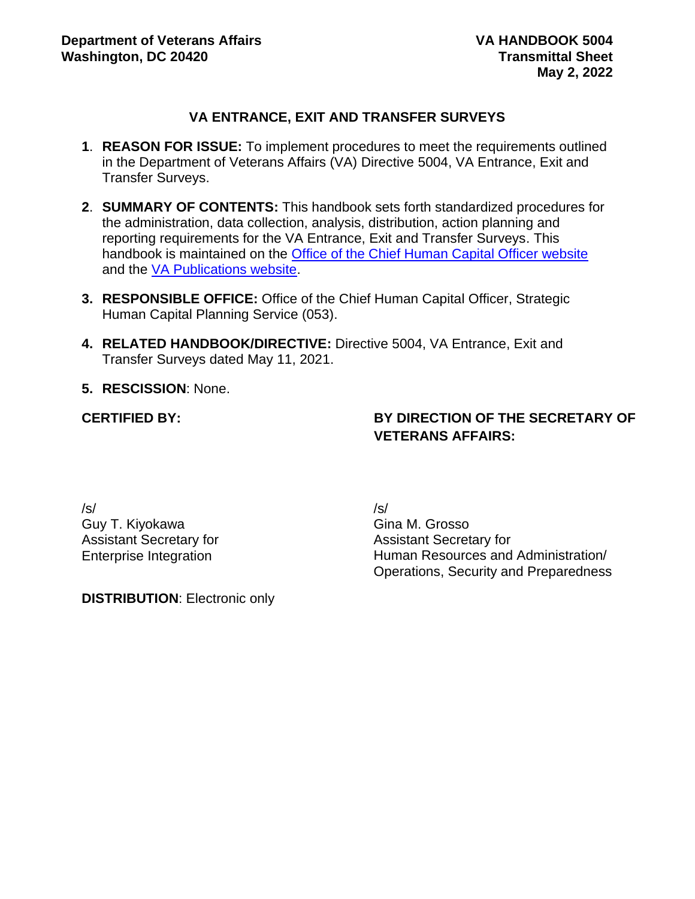#### **VA ENTRANCE, EXIT AND TRANSFER SURVEYS**

- **1**. **REASON FOR ISSUE:** To implement procedures to meet the requirements outlined in the Department of Veterans Affairs (VA) Directive 5004, VA Entrance, Exit and Transfer Surveys.
- **2**. **SUMMARY OF CONTENTS:** This handbook sets forth standardized procedures for the administration, data collection, analysis, distribution, action planning and reporting requirements for the VA Entrance, Exit and Transfer Surveys. This handbook is maintained on the [Office of the Chief Human Capital Officer website](https://vaww.va.gov/OHRM/HRLibrary/HRLibrary.asp) and the [VA Publications website.](https://www.va.gov/vapubs/search_action.cfm?dType=2)
- **3. RESPONSIBLE OFFICE:** Office of the Chief Human Capital Officer, Strategic Human Capital Planning Service (053).
- **4. RELATED HANDBOOK/DIRECTIVE:** Directive 5004, VA Entrance, Exit and Transfer Surveys dated May 11, 2021.
- **5. RESCISSION**: None.

#### **CERTIFIED BY:**

### **BY DIRECTION OF THE SECRETARY OF VETERANS AFFAIRS:**

/s/ Guy T. Kiyokawa Assistant Secretary for Enterprise Integration

/s/ Gina M. Grosso Assistant Secretary for Human Resources and Administration/ Operations, Security and Preparedness

**DISTRIBUTION**: Electronic only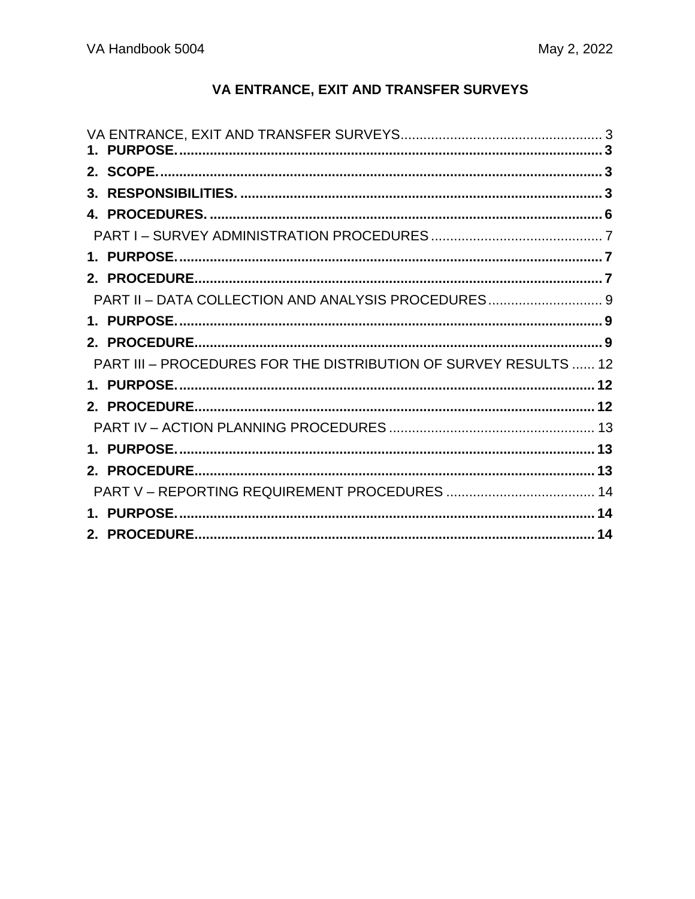# VA ENTRANCE, EXIT AND TRANSFER SURVEYS

| PART II - DATA COLLECTION AND ANALYSIS PROCEDURES 9              |  |
|------------------------------------------------------------------|--|
|                                                                  |  |
|                                                                  |  |
| PART III - PROCEDURES FOR THE DISTRIBUTION OF SURVEY RESULTS  12 |  |
|                                                                  |  |
|                                                                  |  |
|                                                                  |  |
|                                                                  |  |
|                                                                  |  |
|                                                                  |  |
|                                                                  |  |
|                                                                  |  |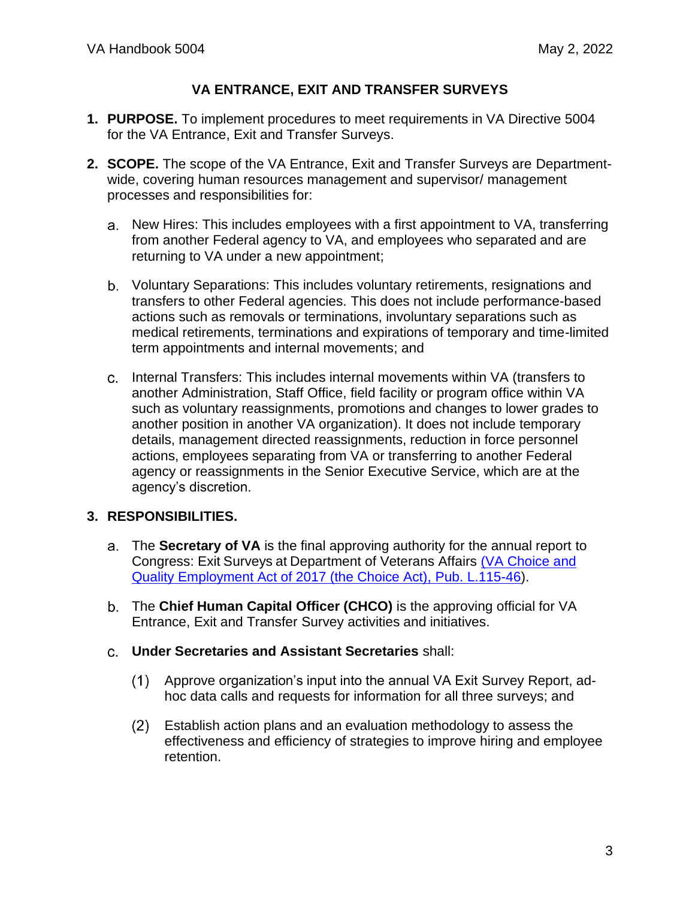## **VA ENTRANCE, EXIT AND TRANSFER SURVEYS**

- <span id="page-2-1"></span><span id="page-2-0"></span>**1. PURPOSE.** To implement procedures to meet requirements in VA Directive 5004 for the VA Entrance, Exit and Transfer Surveys.
- <span id="page-2-2"></span>**2. SCOPE.** The scope of the VA Entrance, Exit and Transfer Surveys are Departmentwide, covering human resources management and supervisor/ management processes and responsibilities for:
	- New Hires: This includes employees with a first appointment to VA, transferring from another Federal agency to VA, and employees who separated and are returning to VA under a new appointment;
	- Voluntary Separations: This includes voluntary retirements, resignations and transfers to other Federal agencies. This does not include performance-based actions such as removals or terminations, involuntary separations such as medical retirements, terminations and expirations of temporary and time-limited term appointments and internal movements; and
	- Internal Transfers: This includes internal movements within VA (transfers to another Administration, Staff Office, field facility or program office within VA such as voluntary reassignments, promotions and changes to lower grades to another position in another VA organization). It does not include temporary details, management directed reassignments, reduction in force personnel actions, employees separating from VA or transferring to another Federal agency or reassignments in the Senior Executive Service, which are at the agency's discretion.

## <span id="page-2-3"></span>**3. RESPONSIBILITIES.**

- The **Secretary of VA** is the final approving authority for the annual report to Congress: Exit Surveys at Department of Veterans Affairs [\(VA Choice and](https://www.congress.gov/bill/115th-congress/senate-bill/114)  [Quality Employment Act of 2017 \(the Choice Act\), Pub.](https://www.congress.gov/bill/115th-congress/senate-bill/114) L.115-46).
- The **Chief Human Capital Officer (CHCO)** is the approving official for VA Entrance, Exit and Transfer Survey activities and initiatives.
- **Under Secretaries and Assistant Secretaries** shall:
	- Approve organization's input into the annual VA Exit Survey Report, adhoc data calls and requests for information for all three surveys; and
	- Establish action plans and an evaluation methodology to assess the  $(2)$ effectiveness and efficiency of strategies to improve hiring and employee retention.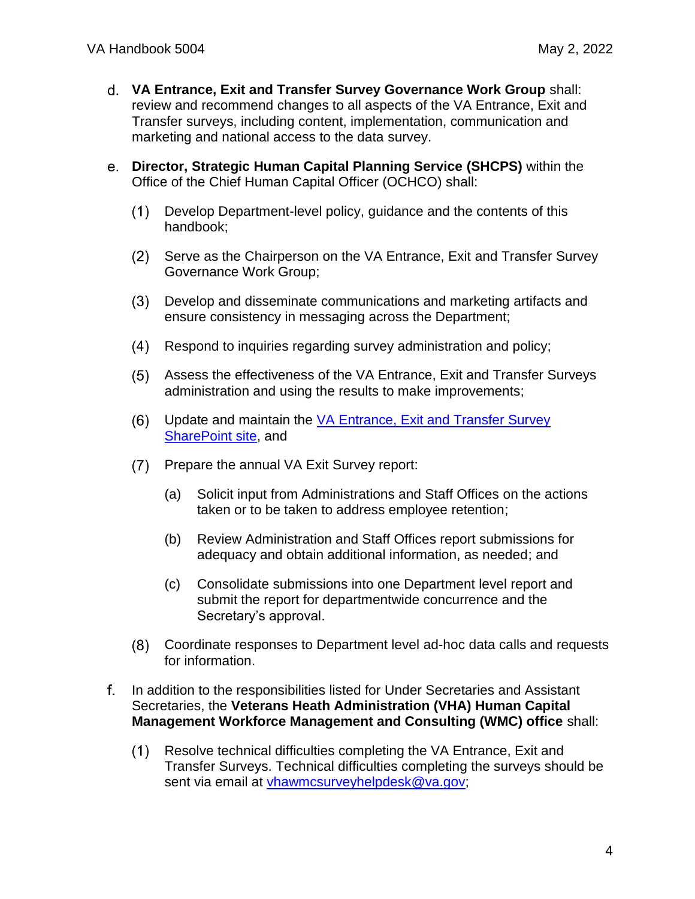- **VA Entrance, Exit and Transfer Survey Governance Work Group** shall: review and recommend changes to all aspects of the VA Entrance, Exit and Transfer surveys, including content, implementation, communication and marketing and national access to the data survey.
- **Director, Strategic Human Capital Planning Service (SHCPS)** within the Office of the Chief Human Capital Officer (OCHCO) shall:
	- Develop Department-level policy, guidance and the contents of this  $(1)$ handbook;
	- (2) Serve as the Chairperson on the VA Entrance, Exit and Transfer Survey Governance Work Group;
	- Develop and disseminate communications and marketing artifacts and ensure consistency in messaging across the Department;
	- $(4)$ Respond to inquiries regarding survey administration and policy;
	- $(5)$ Assess the effectiveness of the VA Entrance, Exit and Transfer Surveys administration and using the results to make improvements;
	- $(6)$ Update and maintain the [VA Entrance, Exit and Transfer Survey](https://dvagov.sharepoint.com/sites/VACOOCHCOShare/surveys/sitepages/home.aspx)  [SharePoint site,](https://dvagov.sharepoint.com/sites/VACOOCHCOShare/surveys/sitepages/home.aspx) and
	- Prepare the annual VA Exit Survey report:
		- (a) Solicit input from Administrations and Staff Offices on the actions taken or to be taken to address employee retention;
		- (b) Review Administration and Staff Offices report submissions for adequacy and obtain additional information, as needed; and
		- (c) Consolidate submissions into one Department level report and submit the report for departmentwide concurrence and the Secretary's approval.
	- $(8)$ Coordinate responses to Department level ad-hoc data calls and requests for information.
- f. In addition to the responsibilities listed for Under Secretaries and Assistant Secretaries, the **Veterans Heath Administration (VHA) Human Capital Management Workforce Management and Consulting (WMC) office** shall:
	- Resolve technical difficulties completing the VA Entrance, Exit and  $(1)$ Transfer Surveys. Technical difficulties completing the surveys should be sent via email at [vhawmcsurveyhelpdesk@va.gov;](file:///C:/Users/vacodecard/Documents/vhawmcsurveyhelpdesk@va.gov)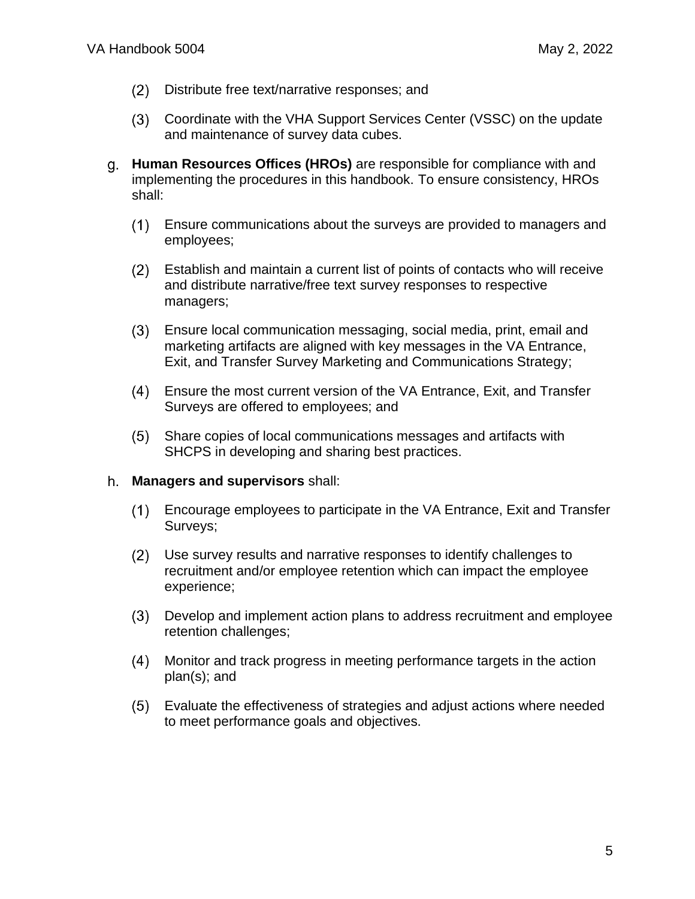- $(2)$ Distribute free text/narrative responses; and
- Coordinate with the VHA Support Services Center (VSSC) on the update and maintenance of survey data cubes.
- **Human Resources Offices (HROs)** are responsible for compliance with and implementing the procedures in this handbook. To ensure consistency, HROs shall:
	- $(1)$ Ensure communications about the surveys are provided to managers and employees;
	- Establish and maintain a current list of points of contacts who will receive  $(2)$ and distribute narrative/free text survey responses to respective managers;
	- $(3)$ Ensure local communication messaging, social media, print, email and marketing artifacts are aligned with key messages in the VA Entrance, Exit, and Transfer Survey Marketing and Communications Strategy;
	- Ensure the most current version of the VA Entrance, Exit, and Transfer Surveys are offered to employees; and
	- $(5)$ Share copies of local communications messages and artifacts with SHCPS in developing and sharing best practices.

#### **Managers and supervisors** shall:

- Encourage employees to participate in the VA Entrance, Exit and Transfer  $(1)$ Surveys;
- Use survey results and narrative responses to identify challenges to  $(2)$ recruitment and/or employee retention which can impact the employee experience;
- $(3)$ Develop and implement action plans to address recruitment and employee retention challenges;
- $(4)$ Monitor and track progress in meeting performance targets in the action plan(s); and
- <span id="page-4-0"></span> $(5)$ Evaluate the effectiveness of strategies and adjust actions where needed to meet performance goals and objectives.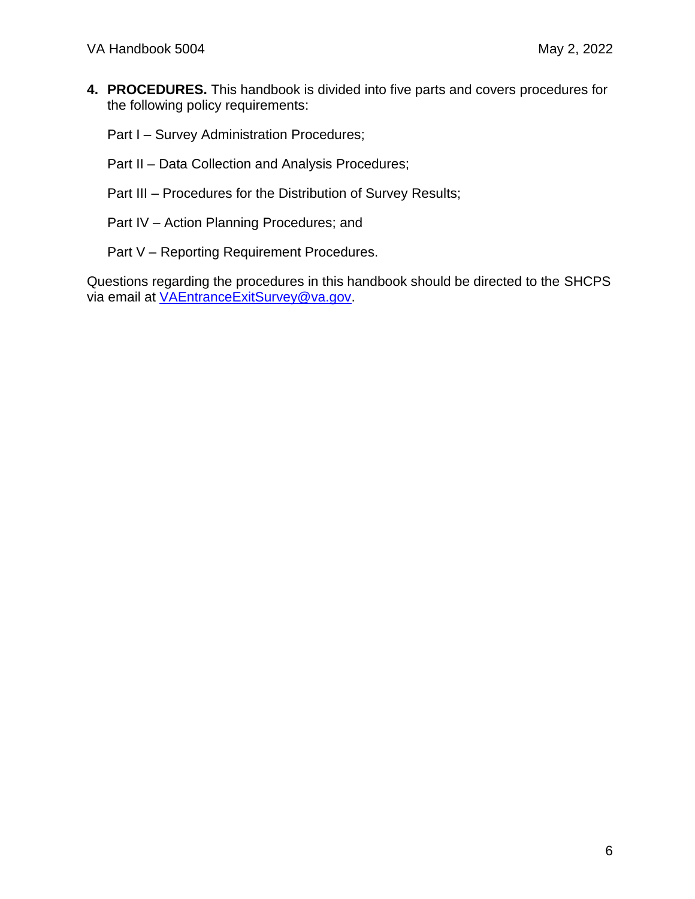**4. PROCEDURES.** This handbook is divided into five parts and covers procedures for the following policy requirements:

Part I – Survey Administration Procedures;

- Part II Data Collection and Analysis Procedures;
- Part III Procedures for the Distribution of Survey Results;
- Part IV Action Planning Procedures; and
- Part V Reporting Requirement Procedures.

Questions regarding the procedures in this handbook should be directed to the SHCPS via email at [VAEntranceExitSurvey@va.gov.](mailto:VAEntranceExitSurvey@va.gov)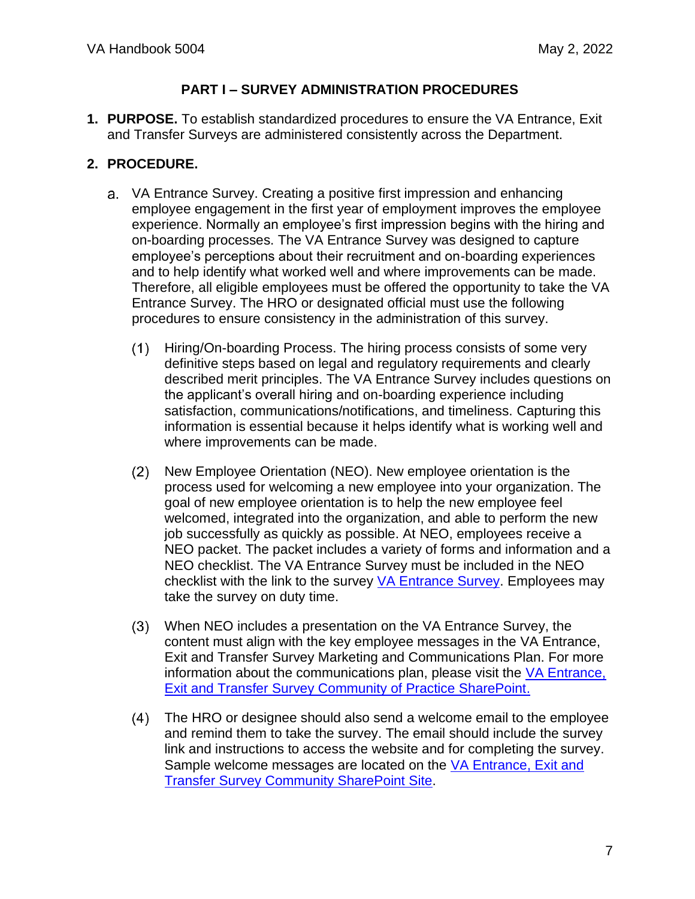### **PART I – SURVEY ADMINISTRATION PROCEDURES**

<span id="page-6-1"></span><span id="page-6-0"></span>**1. PURPOSE.** To establish standardized procedures to ensure the VA Entrance, Exit and Transfer Surveys are administered consistently across the Department.

- <span id="page-6-2"></span>VA Entrance Survey. Creating a positive first impression and enhancing employee engagement in the first year of employment improves the employee experience. Normally an employee's first impression begins with the hiring and on-boarding processes. The VA Entrance Survey was designed to capture employee's perceptions about their recruitment and on-boarding experiences and to help identify what worked well and where improvements can be made. Therefore, all eligible employees must be offered the opportunity to take the VA Entrance Survey. The HRO or designated official must use the following procedures to ensure consistency in the administration of this survey.
	- $(1)$ Hiring/On-boarding Process. The hiring process consists of some very definitive steps based on legal and regulatory requirements and clearly described merit principles. The VA Entrance Survey includes questions on the applicant's overall hiring and on-boarding experience including satisfaction, communications/notifications, and timeliness. Capturing this information is essential because it helps identify what is working well and where improvements can be made.
	- $(2)$ New Employee Orientation (NEO). New employee orientation is the process used for welcoming a new employee into your organization. The goal of new employee orientation is to help the new employee feel welcomed, integrated into the organization, and able to perform the new job successfully as quickly as possible. At NEO, employees receive a NEO packet. The packet includes a variety of forms and information and a NEO checklist. The VA Entrance Survey must be included in the NEO checklist with the link to the survey [VA Entrance Survey.](https://survey.sbx.voice.va.gov/?va-SBX3-exo-entrance) Employees may take the survey on duty time.
	- When NEO includes a presentation on the VA Entrance Survey, the content must align with the key employee messages in the VA Entrance, Exit and Transfer Survey Marketing and Communications Plan. For more information about the communications plan, please visit the [VA Entrance,](https://dvagov.sharepoint.com/sites/VACOOCHCOShare/surveys/sitepages/home.aspx)  [Exit and Transfer Survey Community of Practice SharePoint.](https://dvagov.sharepoint.com/sites/VACOOCHCOShare/surveys/sitepages/home.aspx)
	- $(4)$ The HRO or designee should also send a welcome email to the employee and remind them to take the survey. The email should include the survey link and instructions to access the website and for completing the survey. Sample welcome messages are located on the VA Entrance, Exit and [Transfer Survey Community SharePoint Site.](https://dvagov.sharepoint.com/sites/VACOOCHCOShare/surveys/sitepages/home.aspx)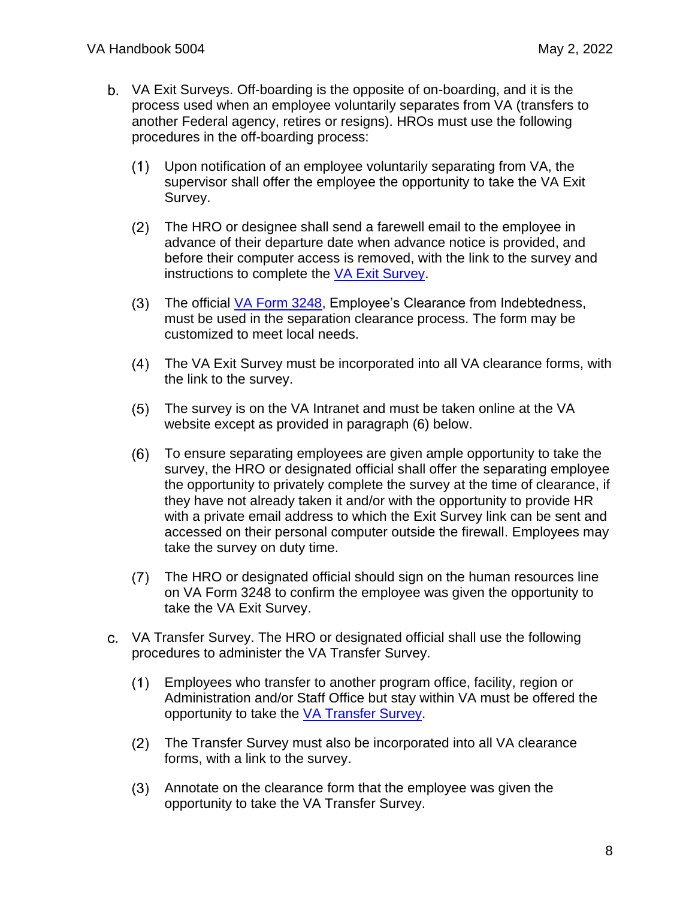- VA Exit Surveys. Off-boarding is the opposite of on-boarding, and it is the process used when an employee voluntarily separates from VA (transfers to another Federal agency, retires or resigns). HROs must use the following procedures in the off-boarding process:
	- $(1)$ Upon notification of an employee voluntarily separating from VA, the supervisor shall offer the employee the opportunity to take the VA Exit Survey.
	- $(2)$ The HRO or designee shall send a farewell email to the employee in advance of their departure date when advance notice is provided, and before their computer access is removed, with the link to the survey and instructions to complete the [VA Exit Survey.](https://dvagov.sharepoint.com/sites/OCHCOEE/)
	- $(3)$ The official [VA Form 3248,](https://vaww.va.gov/vaforms/Search_action.asp?FormNo=3248&tkey=&Action=Search) Employee's Clearance from Indebtedness, must be used in the separation clearance process. The form may be customized to meet local needs.
	- $(4)$ The VA Exit Survey must be incorporated into all VA clearance forms, with the link to the survey.
	- The survey is on the VA Intranet and must be taken online at the VA  $(5)$ website except as provided in paragraph (6) below.
	- To ensure separating employees are given ample opportunity to take the  $(6)$ survey, the HRO or designated official shall offer the separating employee the opportunity to privately complete the survey at the time of clearance, if they have not already taken it and/or with the opportunity to provide HR with a private email address to which the Exit Survey link can be sent and accessed on their personal computer outside the firewall. Employees may take the survey on duty time.
	- The HRO or designated official should sign on the human resources line on VA Form 3248 to confirm the employee was given the opportunity to take the VA Exit Survey.
- VA Transfer Survey. The HRO or designated official shall use the following procedures to administer the VA Transfer Survey.
	- Employees who transfer to another program office, facility, region or  $(1)$ Administration and/or Staff Office but stay within VA must be offered the opportunity to take the [VA Transfer Survey.](https://dvagov.sharepoint.com/sites/OCHCOEE/)
	- The Transfer Survey must also be incorporated into all VA clearance forms, with a link to the survey.
	- Annotate on the clearance form that the employee was given the opportunity to take the VA Transfer Survey.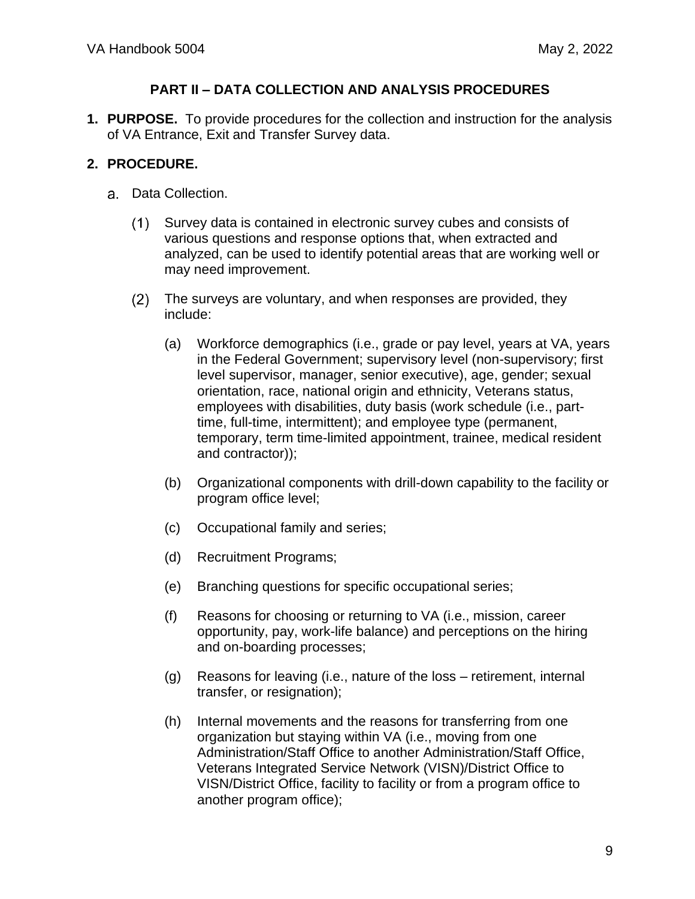#### **PART II – DATA COLLECTION AND ANALYSIS PROCEDURES**

<span id="page-8-1"></span><span id="page-8-0"></span>**1. PURPOSE.** To provide procedures for the collection and instruction for the analysis of VA Entrance, Exit and Transfer Survey data.

- <span id="page-8-2"></span>Data Collection.
	- Survey data is contained in electronic survey cubes and consists of  $(1)$ various questions and response options that, when extracted and analyzed, can be used to identify potential areas that are working well or may need improvement.
	- $(2)$ The surveys are voluntary, and when responses are provided, they include:
		- (a) Workforce demographics (i.e., grade or pay level, years at VA, years in the Federal Government; supervisory level (non-supervisory; first level supervisor, manager, senior executive), age, gender; sexual orientation, race, national origin and ethnicity, Veterans status, employees with disabilities, duty basis (work schedule (i.e., parttime, full-time, intermittent); and employee type (permanent, temporary, term time-limited appointment, trainee, medical resident and contractor));
		- (b) Organizational components with drill-down capability to the facility or program office level;
		- (c) Occupational family and series;
		- (d) Recruitment Programs;
		- (e) Branching questions for specific occupational series;
		- (f) Reasons for choosing or returning to VA (i.e., mission, career opportunity, pay, work-life balance) and perceptions on the hiring and on-boarding processes;
		- (g) Reasons for leaving (i.e., nature of the loss retirement, internal transfer, or resignation);
		- (h) Internal movements and the reasons for transferring from one organization but staying within VA (i.e., moving from one Administration/Staff Office to another Administration/Staff Office, Veterans Integrated Service Network (VISN)/District Office to VISN/District Office, facility to facility or from a program office to another program office);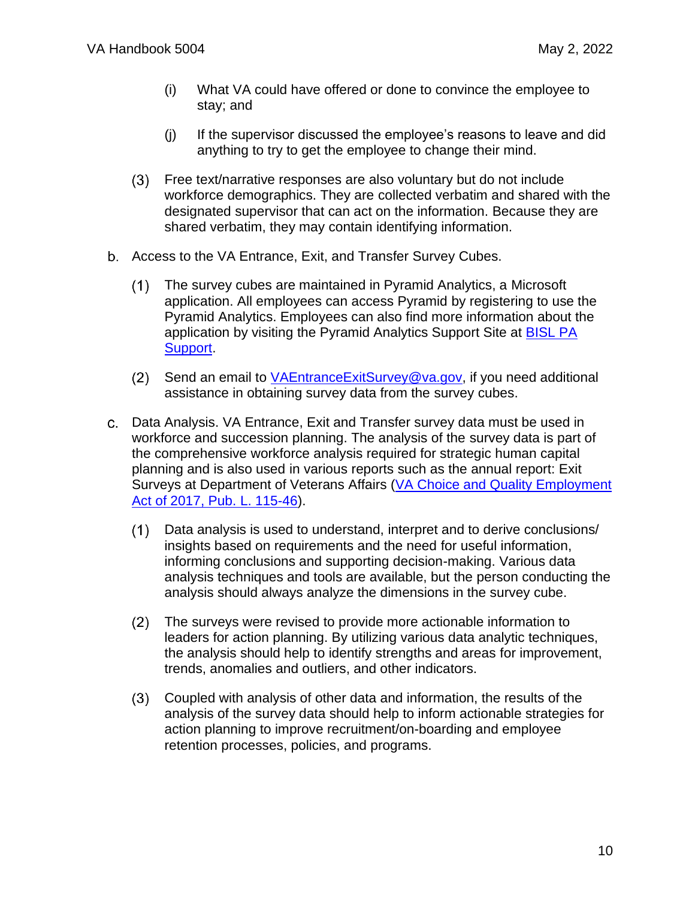- (i) What VA could have offered or done to convince the employee to stay; and
- (j) If the supervisor discussed the employee's reasons to leave and did anything to try to get the employee to change their mind.
- Free text/narrative responses are also voluntary but do not include workforce demographics. They are collected verbatim and shared with the designated supervisor that can act on the information. Because they are shared verbatim, they may contain identifying information.
- b. Access to the VA Entrance, Exit, and Transfer Survey Cubes.
	- $(1)$ The survey cubes are maintained in Pyramid Analytics, a Microsoft application. All employees can access Pyramid by registering to use the Pyramid Analytics. Employees can also find more information about the application by visiting the Pyramid Analytics Support Site at BISL PA [Support.](mailto:BISL%20PA%20Support%20%3cbislpasupport@va.gov%3e)
	- $(2)$ Send an email to [VAEntranceExitSurvey@va.gov,](mailto:VAEntranceExitSurvey@va.gov) if you need additional assistance in obtaining survey data from the survey cubes.
- Data Analysis. VA Entrance, Exit and Transfer survey data must be used in workforce and succession planning. The analysis of the survey data is part of the comprehensive workforce analysis required for strategic human capital planning and is also used in various reports such as the annual report: Exit Surveys at Department of Veterans Affairs (VA Choice and Quality Employment [Act of 2017, Pub. L.](https://www.congress.gov/bill/115th-congress/senate-bill/114) 115-46).
	- $(1)$ Data analysis is used to understand, interpret and to derive conclusions/ insights based on requirements and the need for useful information, informing conclusions and supporting decision-making. Various data analysis techniques and tools are available, but the person conducting the analysis should always analyze the dimensions in the survey cube.
	- $(2)$ The surveys were revised to provide more actionable information to leaders for action planning. By utilizing various data analytic techniques, the analysis should help to identify strengths and areas for improvement, trends, anomalies and outliers, and other indicators.
	- Coupled with analysis of other data and information, the results of the analysis of the survey data should help to inform actionable strategies for action planning to improve recruitment/on-boarding and employee retention processes, policies, and programs.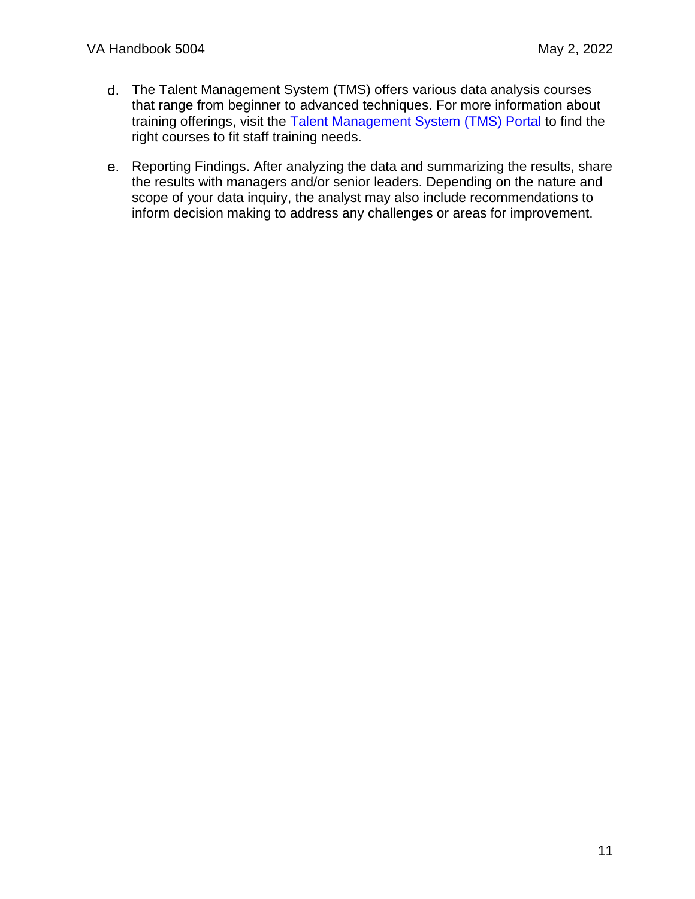- The Talent Management System (TMS) offers various data analysis courses that range from beginner to advanced techniques. For more information about training offerings, visit the [Talent Management System \(TMS\) Portal](https://www.tms.va.gov/SecureAuth35/) to find the right courses to fit staff training needs.
- Reporting Findings. After analyzing the data and summarizing the results, share the results with managers and/or senior leaders. Depending on the nature and scope of your data inquiry, the analyst may also include recommendations to inform decision making to address any challenges or areas for improvement.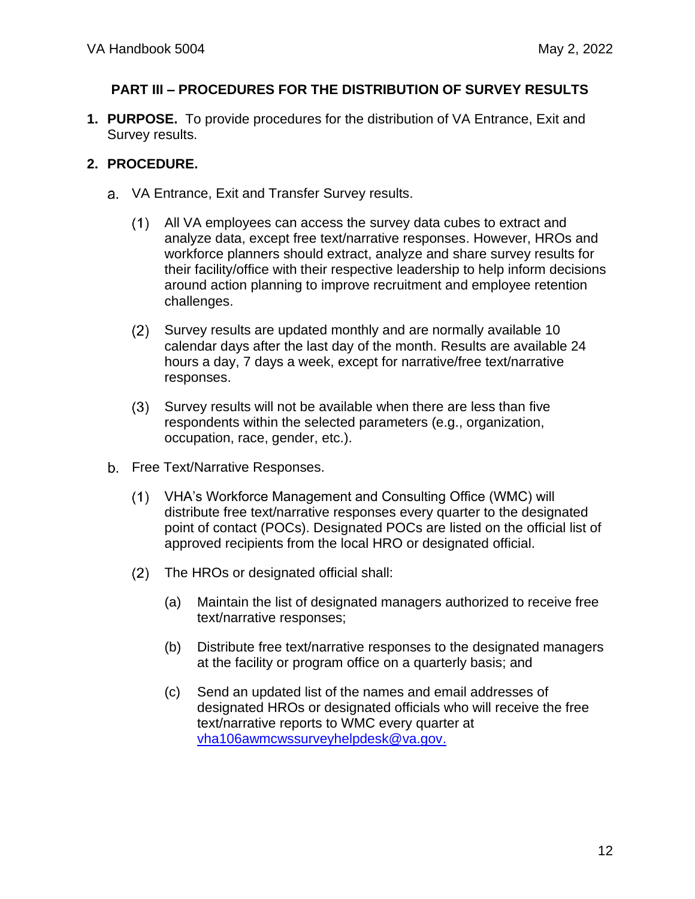### <span id="page-11-0"></span>**PART III – PROCEDURES FOR THE DISTRIBUTION OF SURVEY RESULTS**

<span id="page-11-1"></span>**1. PURPOSE.** To provide procedures for the distribution of VA Entrance, Exit and Survey results.

- <span id="page-11-2"></span>VA Entrance, Exit and Transfer Survey results.
	- All VA employees can access the survey data cubes to extract and analyze data, except free text/narrative responses. However, HROs and workforce planners should extract, analyze and share survey results for their facility/office with their respective leadership to help inform decisions around action planning to improve recruitment and employee retention challenges.
	- $(2)$ Survey results are updated monthly and are normally available 10 calendar days after the last day of the month. Results are available 24 hours a day, 7 days a week, except for narrative/free text/narrative responses.
	- Survey results will not be available when there are less than five  $(3)$ respondents within the selected parameters (e.g., organization, occupation, race, gender, etc.).
- b. Free Text/Narrative Responses.
	- $(1)$ VHA's Workforce Management and Consulting Office (WMC) will distribute free text/narrative responses every quarter to the designated point of contact (POCs). Designated POCs are listed on the official list of approved recipients from the local HRO or designated official.
	- The HROs or designated official shall:
		- (a) Maintain the list of designated managers authorized to receive free text/narrative responses;
		- (b) Distribute free text/narrative responses to the designated managers at the facility or program office on a quarterly basis; and
		- (c) Send an updated list of the names and email addresses of designated HROs or designated officials who will receive the free text/narrative reports to WMC every quarter at [vha106awmcwssurveyhelpdesk@va.gov.](mailto:vha106awmcwssurveyhelpdesk@va.gov)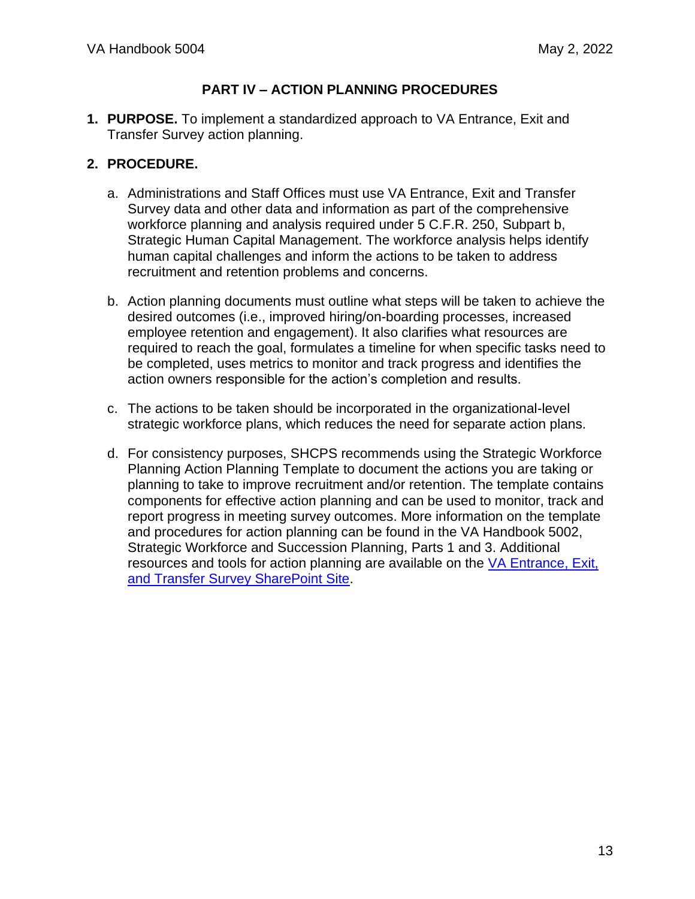### **PART IV – ACTION PLANNING PROCEDURES**

<span id="page-12-1"></span><span id="page-12-0"></span>**1. PURPOSE.** To implement a standardized approach to VA Entrance, Exit and Transfer Survey action planning.

- <span id="page-12-2"></span>a. Administrations and Staff Offices must use VA Entrance, Exit and Transfer Survey data and other data and information as part of the comprehensive workforce planning and analysis required under 5 C.F.R. 250, Subpart b, Strategic Human Capital Management. The workforce analysis helps identify human capital challenges and inform the actions to be taken to address recruitment and retention problems and concerns.
- b. Action planning documents must outline what steps will be taken to achieve the desired outcomes (i.e., improved hiring/on-boarding processes, increased employee retention and engagement). It also clarifies what resources are required to reach the goal, formulates a timeline for when specific tasks need to be completed, uses metrics to monitor and track progress and identifies the action owners responsible for the action's completion and results.
- c. The actions to be taken should be incorporated in the organizational-level strategic workforce plans, which reduces the need for separate action plans.
- d. For consistency purposes, SHCPS recommends using the Strategic Workforce Planning Action Planning Template to document the actions you are taking or planning to take to improve recruitment and/or retention. The template contains components for effective action planning and can be used to monitor, track and report progress in meeting survey outcomes. More information on the template and procedures for action planning can be found in the VA Handbook 5002, Strategic Workforce and Succession Planning, Parts 1 and 3. Additional resources and tools for action planning are available on the [VA Entrance, Exit,](https://dvagov.sharepoint.com/sites/VACOOCHCOShare/surveys/sitepages/home.aspx)  [and Transfer Survey SharePoint Site.](https://dvagov.sharepoint.com/sites/VACOOCHCOShare/surveys/sitepages/home.aspx)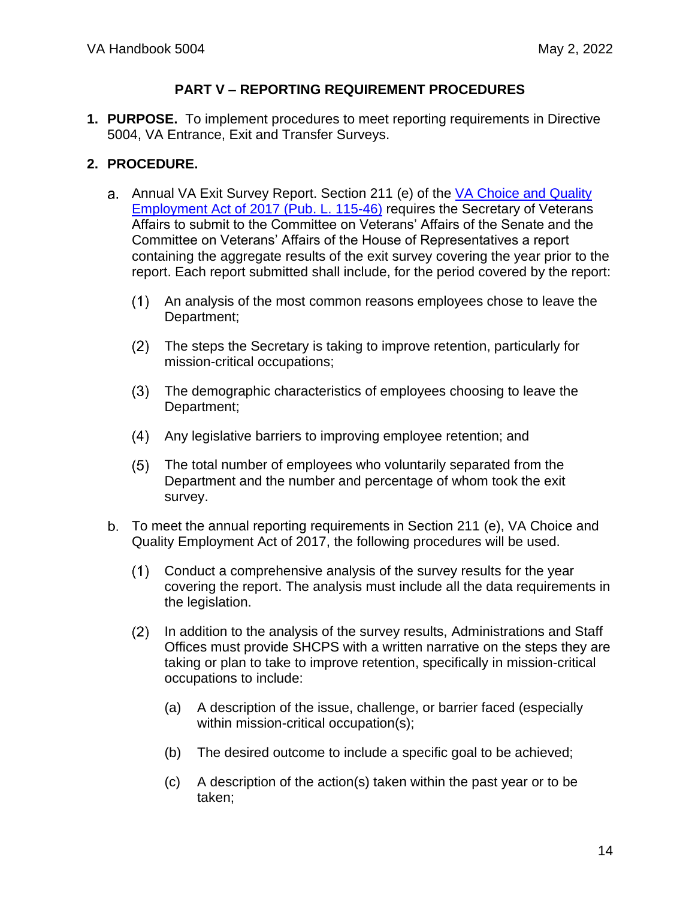#### **PART V – REPORTING REQUIREMENT PROCEDURES**

<span id="page-13-1"></span><span id="page-13-0"></span>**1. PURPOSE.** To implement procedures to meet reporting requirements in Directive 5004, VA Entrance, Exit and Transfer Surveys.

- <span id="page-13-2"></span>a. Annual VA Exit Survey Report. Section 211 (e) of the VA Choice and Quality [Employment Act of 2017 \(Pub.](https://www.congress.gov/bill/115th-congress/senate-bill/114) L. 115-46) requires the Secretary of Veterans Affairs to submit to the Committee on Veterans' Affairs of the Senate and the Committee on Veterans' Affairs of the House of Representatives a report containing the aggregate results of the exit survey covering the year prior to the report. Each report submitted shall include, for the period covered by the report:
	- An analysis of the most common reasons employees chose to leave the Department;
	- $(2)$ The steps the Secretary is taking to improve retention, particularly for mission-critical occupations;
	- $(3)$ The demographic characteristics of employees choosing to leave the Department;
	- Any legislative barriers to improving employee retention; and
	- $(5)$ The total number of employees who voluntarily separated from the Department and the number and percentage of whom took the exit survey.
- b. To meet the annual reporting requirements in Section 211 (e), VA Choice and Quality Employment Act of 2017, the following procedures will be used.
	- $(1)$ Conduct a comprehensive analysis of the survey results for the year covering the report. The analysis must include all the data requirements in the legislation.
	- $(2)$ In addition to the analysis of the survey results, Administrations and Staff Offices must provide SHCPS with a written narrative on the steps they are taking or plan to take to improve retention, specifically in mission-critical occupations to include:
		- (a) A description of the issue, challenge, or barrier faced (especially within mission-critical occupation(s);
		- (b) The desired outcome to include a specific goal to be achieved;
		- (c) A description of the action(s) taken within the past year or to be taken;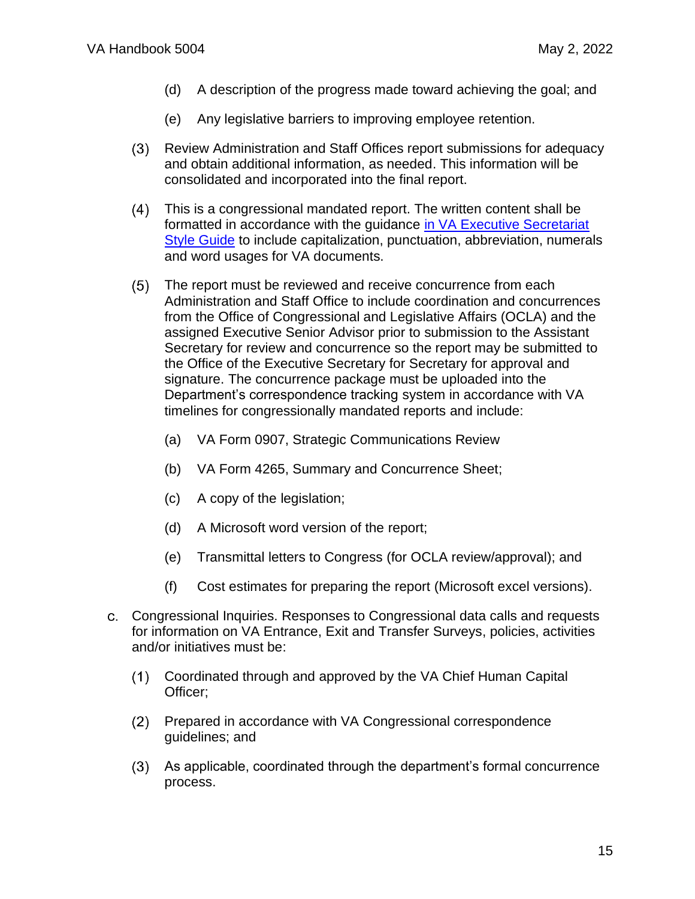- (d) A description of the progress made toward achieving the goal; and
- (e) Any legislative barriers to improving employee retention.
- $(3)$ Review Administration and Staff Offices report submissions for adequacy and obtain additional information, as needed. This information will be consolidated and incorporated into the final report.
- $(4)$ This is a congressional mandated report. The written content shall be formatted in accordance with the guidance [in VA Executive Secretariat](https://vaww.execsec.va.gov/docs/Fall_2021_VA_EXECSEC_Style_Guide_Release_3_0.pdf)  [Style Guide](https://vaww.execsec.va.gov/docs/Fall_2021_VA_EXECSEC_Style_Guide_Release_3_0.pdf) to include capitalization, punctuation, abbreviation, numerals and word usages for VA documents.
- $(5)$ The report must be reviewed and receive concurrence from each Administration and Staff Office to include coordination and concurrences from the Office of Congressional and Legislative Affairs (OCLA) and the assigned Executive Senior Advisor prior to submission to the Assistant Secretary for review and concurrence so the report may be submitted to the Office of the Executive Secretary for Secretary for approval and signature. The concurrence package must be uploaded into the Department's correspondence tracking system in accordance with VA timelines for congressionally mandated reports and include:
	- (a) VA Form 0907, Strategic Communications Review
	- (b) VA Form 4265, Summary and Concurrence Sheet;
	- (c) A copy of the legislation;
	- (d) A Microsoft word version of the report;
	- (e) Transmittal letters to Congress (for OCLA review/approval); and
	- (f) Cost estimates for preparing the report (Microsoft excel versions).
- Congressional Inquiries. Responses to Congressional data calls and requests for information on VA Entrance, Exit and Transfer Surveys, policies, activities and/or initiatives must be:
	- $(1)$ Coordinated through and approved by the VA Chief Human Capital Officer;
	- $(2)$ Prepared in accordance with VA Congressional correspondence guidelines; and
	- As applicable, coordinated through the department's formal concurrence process.